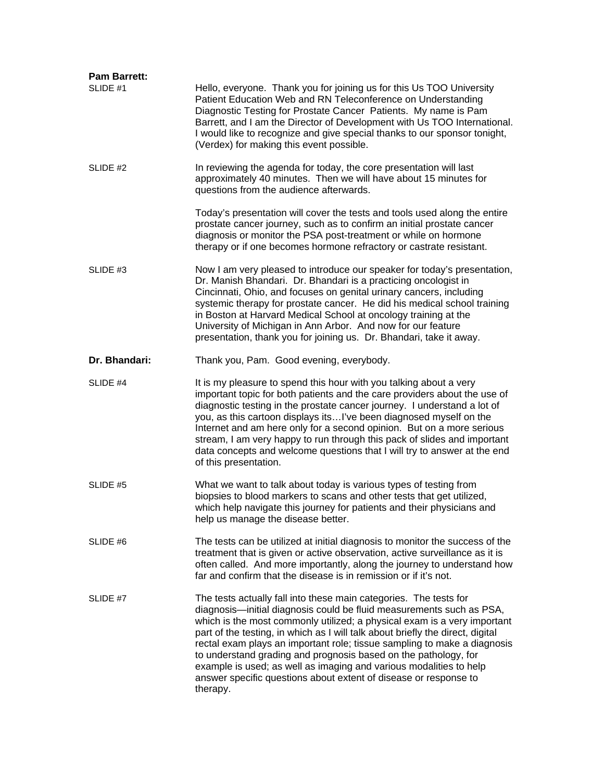| <b>Pam Barrett:</b> |                                                                                                                                                                                                                                                                                                                                                                                                                                                                                                                                                                                                              |
|---------------------|--------------------------------------------------------------------------------------------------------------------------------------------------------------------------------------------------------------------------------------------------------------------------------------------------------------------------------------------------------------------------------------------------------------------------------------------------------------------------------------------------------------------------------------------------------------------------------------------------------------|
| SLIDE #1            | Hello, everyone. Thank you for joining us for this Us TOO University<br>Patient Education Web and RN Teleconference on Understanding<br>Diagnostic Testing for Prostate Cancer Patients. My name is Pam<br>Barrett, and I am the Director of Development with Us TOO International.<br>I would like to recognize and give special thanks to our sponsor tonight,<br>(Verdex) for making this event possible.                                                                                                                                                                                                 |
| SLIDE #2            | In reviewing the agenda for today, the core presentation will last<br>approximately 40 minutes. Then we will have about 15 minutes for<br>questions from the audience afterwards.                                                                                                                                                                                                                                                                                                                                                                                                                            |
|                     | Today's presentation will cover the tests and tools used along the entire<br>prostate cancer journey, such as to confirm an initial prostate cancer<br>diagnosis or monitor the PSA post-treatment or while on hormone<br>therapy or if one becomes hormone refractory or castrate resistant.                                                                                                                                                                                                                                                                                                                |
| SLIDE #3            | Now I am very pleased to introduce our speaker for today's presentation,<br>Dr. Manish Bhandari. Dr. Bhandari is a practicing oncologist in<br>Cincinnati, Ohio, and focuses on genital urinary cancers, including<br>systemic therapy for prostate cancer. He did his medical school training<br>in Boston at Harvard Medical School at oncology training at the<br>University of Michigan in Ann Arbor. And now for our feature<br>presentation, thank you for joining us. Dr. Bhandari, take it away.                                                                                                     |
| Dr. Bhandari:       | Thank you, Pam. Good evening, everybody.                                                                                                                                                                                                                                                                                                                                                                                                                                                                                                                                                                     |
| SLIDE #4            | It is my pleasure to spend this hour with you talking about a very<br>important topic for both patients and the care providers about the use of<br>diagnostic testing in the prostate cancer journey. I understand a lot of<br>you, as this cartoon displays its I've been diagnosed myself on the<br>Internet and am here only for a second opinion. But on a more serious<br>stream, I am very happy to run through this pack of slides and important<br>data concepts and welcome questions that I will try to answer at the end<br>of this presentation.                                                 |
| SLIDE #5            | What we want to talk about today is various types of testing from<br>biopsies to blood markers to scans and other tests that get utilized,<br>which help navigate this journey for patients and their physicians and<br>help us manage the disease better.                                                                                                                                                                                                                                                                                                                                                   |
| SLIDE #6            | The tests can be utilized at initial diagnosis to monitor the success of the<br>treatment that is given or active observation, active surveillance as it is<br>often called. And more importantly, along the journey to understand how<br>far and confirm that the disease is in remission or if it's not.                                                                                                                                                                                                                                                                                                   |
| SLIDE #7            | The tests actually fall into these main categories. The tests for<br>diagnosis-initial diagnosis could be fluid measurements such as PSA,<br>which is the most commonly utilized; a physical exam is a very important<br>part of the testing, in which as I will talk about briefly the direct, digital<br>rectal exam plays an important role; tissue sampling to make a diagnosis<br>to understand grading and prognosis based on the pathology, for<br>example is used; as well as imaging and various modalities to help<br>answer specific questions about extent of disease or response to<br>therapy. |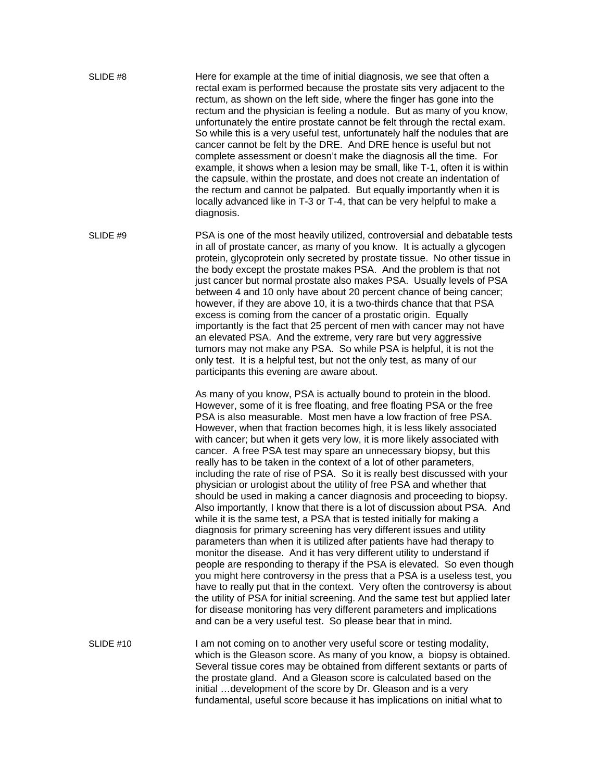SLIDE #8 Here for example at the time of initial diagnosis, we see that often a rectal exam is performed because the prostate sits very adjacent to the rectum, as shown on the left side, where the finger has gone into the rectum and the physician is feeling a nodule. But as many of you know, unfortunately the entire prostate cannot be felt through the rectal exam. So while this is a very useful test, unfortunately half the nodules that are cancer cannot be felt by the DRE. And DRE hence is useful but not complete assessment or doesn't make the diagnosis all the time. For example, it shows when a lesion may be small, like T-1, often it is within the capsule, within the prostate, and does not create an indentation of the rectum and cannot be palpated. But equally importantly when it is locally advanced like in T-3 or T-4, that can be very helpful to make a diagnosis.

SLIDE #9 PSA is one of the most heavily utilized, controversial and debatable tests in all of prostate cancer, as many of you know. It is actually a glycogen protein, glycoprotein only secreted by prostate tissue. No other tissue in the body except the prostate makes PSA. And the problem is that not just cancer but normal prostate also makes PSA. Usually levels of PSA between 4 and 10 only have about 20 percent chance of being cancer; however, if they are above 10, it is a two-thirds chance that that PSA excess is coming from the cancer of a prostatic origin. Equally importantly is the fact that 25 percent of men with cancer may not have an elevated PSA. And the extreme, very rare but very aggressive tumors may not make any PSA. So while PSA is helpful, it is not the only test. It is a helpful test, but not the only test, as many of our participants this evening are aware about.

> As many of you know, PSA is actually bound to protein in the blood. However, some of it is free floating, and free floating PSA or the free PSA is also measurable. Most men have a low fraction of free PSA. However, when that fraction becomes high, it is less likely associated with cancer; but when it gets very low, it is more likely associated with cancer. A free PSA test may spare an unnecessary biopsy, but this really has to be taken in the context of a lot of other parameters, including the rate of rise of PSA. So it is really best discussed with your physician or urologist about the utility of free PSA and whether that should be used in making a cancer diagnosis and proceeding to biopsy. Also importantly, I know that there is a lot of discussion about PSA. And while it is the same test, a PSA that is tested initially for making a diagnosis for primary screening has very different issues and utility parameters than when it is utilized after patients have had therapy to monitor the disease. And it has very different utility to understand if people are responding to therapy if the PSA is elevated. So even though you might here controversy in the press that a PSA is a useless test, you have to really put that in the context. Very often the controversy is about the utility of PSA for initial screening. And the same test but applied later for disease monitoring has very different parameters and implications and can be a very useful test. So please bear that in mind.

SLIDE #10 I am not coming on to another very useful score or testing modality, which is the Gleason score. As many of you know, a biopsy is obtained. Several tissue cores may be obtained from different sextants or parts of the prostate gland. And a Gleason score is calculated based on the initial …development of the score by Dr. Gleason and is a very fundamental, useful score because it has implications on initial what to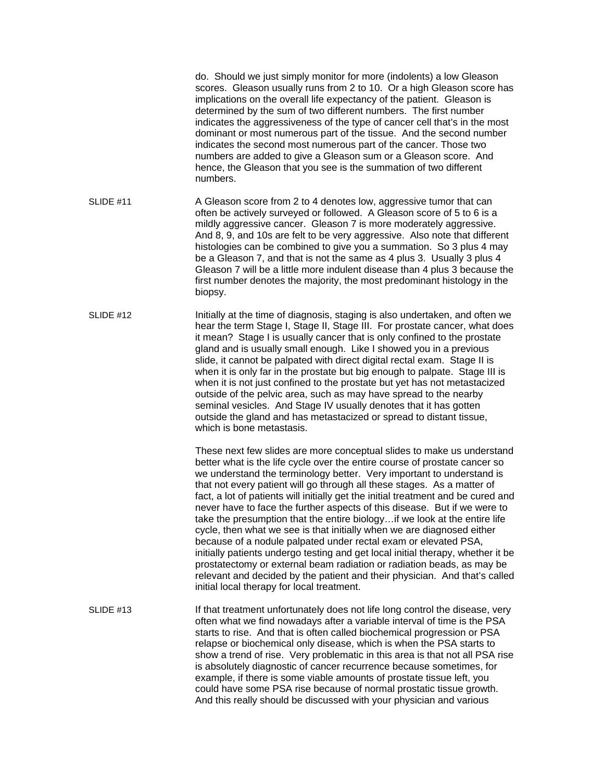do. Should we just simply monitor for more (indolents) a low Gleason scores. Gleason usually runs from 2 to 10. Or a high Gleason score has implications on the overall life expectancy of the patient. Gleason is determined by the sum of two different numbers. The first number indicates the aggressiveness of the type of cancer cell that's in the most dominant or most numerous part of the tissue. And the second number indicates the second most numerous part of the cancer. Those two numbers are added to give a Gleason sum or a Gleason score. And hence, the Gleason that you see is the summation of two different numbers. SLIDE #11 A Gleason score from 2 to 4 denotes low, aggressive tumor that can often be actively surveyed or followed. A Gleason score of 5 to 6 is a mildly aggressive cancer. Gleason 7 is more moderately aggressive. And 8, 9, and 10s are felt to be very aggressive. Also note that different histologies can be combined to give you a summation. So 3 plus 4 may be a Gleason 7, and that is not the same as 4 plus 3. Usually 3 plus 4 Gleason 7 will be a little more indulent disease than 4 plus 3 because the first number denotes the majority, the most predominant histology in the biopsy. SLIDE #12 Initially at the time of diagnosis, staging is also undertaken, and often we hear the term Stage I, Stage II, Stage III. For prostate cancer, what does it mean? Stage I is usually cancer that is only confined to the prostate gland and is usually small enough. Like I showed you in a previous slide, it cannot be palpated with direct digital rectal exam. Stage II is when it is only far in the prostate but big enough to palpate. Stage III is when it is not just confined to the prostate but yet has not metastacized outside of the pelvic area, such as may have spread to the nearby seminal vesicles. And Stage IV usually denotes that it has gotten outside the gland and has metastacized or spread to distant tissue, which is bone metastasis. These next few slides are more conceptual slides to make us understand better what is the life cycle over the entire course of prostate cancer so we understand the terminology better. Very important to understand is that not every patient will go through all these stages. As a matter of fact, a lot of patients will initially get the initial treatment and be cured and never have to face the further aspects of this disease. But if we were to take the presumption that the entire biology…if we look at the entire life cycle, then what we see is that initially when we are diagnosed either because of a nodule palpated under rectal exam or elevated PSA, initially patients undergo testing and get local initial therapy, whether it be prostatectomy or external beam radiation or radiation beads, as may be relevant and decided by the patient and their physician. And that's called initial local therapy for local treatment. SLIDE #13If that treatment unfortunately does not life long control the disease, very often what we find nowadays after a variable interval of time is the PSA starts to rise. And that is often called biochemical progression or PSA relapse or biochemical only disease, which is when the PSA starts to show a trend of rise. Very problematic in this area is that not all PSA rise is absolutely diagnostic of cancer recurrence because sometimes, for example, if there is some viable amounts of prostate tissue left, you could have some PSA rise because of normal prostatic tissue growth. And this really should be discussed with your physician and various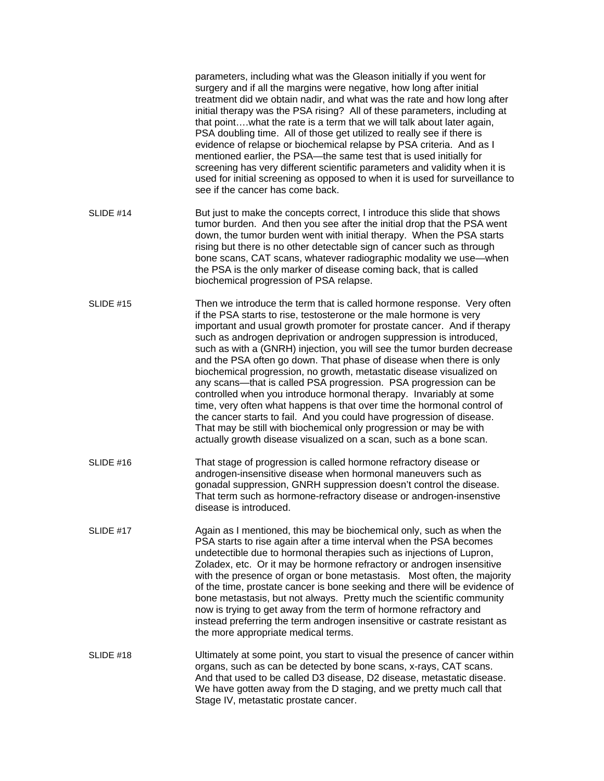|           | parameters, including what was the Gleason initially if you went for<br>surgery and if all the margins were negative, how long after initial<br>treatment did we obtain nadir, and what was the rate and how long after<br>initial therapy was the PSA rising? All of these parameters, including at<br>that pointwhat the rate is a term that we will talk about later again,<br>PSA doubling time. All of those get utilized to really see if there is<br>evidence of relapse or biochemical relapse by PSA criteria. And as I<br>mentioned earlier, the PSA-the same test that is used initially for<br>screening has very different scientific parameters and validity when it is<br>used for initial screening as opposed to when it is used for surveillance to<br>see if the cancer has come back.                                                                                                                                                           |
|-----------|---------------------------------------------------------------------------------------------------------------------------------------------------------------------------------------------------------------------------------------------------------------------------------------------------------------------------------------------------------------------------------------------------------------------------------------------------------------------------------------------------------------------------------------------------------------------------------------------------------------------------------------------------------------------------------------------------------------------------------------------------------------------------------------------------------------------------------------------------------------------------------------------------------------------------------------------------------------------|
| SLIDE #14 | But just to make the concepts correct, I introduce this slide that shows<br>tumor burden. And then you see after the initial drop that the PSA went<br>down, the tumor burden went with initial therapy. When the PSA starts<br>rising but there is no other detectable sign of cancer such as through<br>bone scans, CAT scans, whatever radiographic modality we use-when<br>the PSA is the only marker of disease coming back, that is called<br>biochemical progression of PSA relapse.                                                                                                                                                                                                                                                                                                                                                                                                                                                                         |
| SLIDE #15 | Then we introduce the term that is called hormone response. Very often<br>if the PSA starts to rise, testosterone or the male hormone is very<br>important and usual growth promoter for prostate cancer. And if therapy<br>such as androgen deprivation or androgen suppression is introduced,<br>such as with a (GNRH) injection, you will see the tumor burden decrease<br>and the PSA often go down. That phase of disease when there is only<br>biochemical progression, no growth, metastatic disease visualized on<br>any scans—that is called PSA progression. PSA progression can be<br>controlled when you introduce hormonal therapy. Invariably at some<br>time, very often what happens is that over time the hormonal control of<br>the cancer starts to fail. And you could have progression of disease.<br>That may be still with biochemical only progression or may be with<br>actually growth disease visualized on a scan, such as a bone scan. |
| SLIDE #16 | That stage of progression is called hormone refractory disease or<br>androgen-insensitive disease when hormonal maneuvers such as<br>gonadal suppression, GNRH suppression doesn't control the disease.<br>That term such as hormone-refractory disease or androgen-insenstive<br>disease is introduced.                                                                                                                                                                                                                                                                                                                                                                                                                                                                                                                                                                                                                                                            |
| SLIDE #17 | Again as I mentioned, this may be biochemical only, such as when the<br>PSA starts to rise again after a time interval when the PSA becomes<br>undetectible due to hormonal therapies such as injections of Lupron,<br>Zoladex, etc. Or it may be hormone refractory or androgen insensitive<br>with the presence of organ or bone metastasis. Most often, the majority<br>of the time, prostate cancer is bone seeking and there will be evidence of<br>bone metastasis, but not always. Pretty much the scientific community<br>now is trying to get away from the term of hormone refractory and<br>instead preferring the term androgen insensitive or castrate resistant as<br>the more appropriate medical terms.                                                                                                                                                                                                                                             |
| SLIDE #18 | Ultimately at some point, you start to visual the presence of cancer within<br>organs, such as can be detected by bone scans, x-rays, CAT scans.<br>And that used to be called D3 disease, D2 disease, metastatic disease.<br>We have gotten away from the D staging, and we pretty much call that<br>Stage IV, metastatic prostate cancer.                                                                                                                                                                                                                                                                                                                                                                                                                                                                                                                                                                                                                         |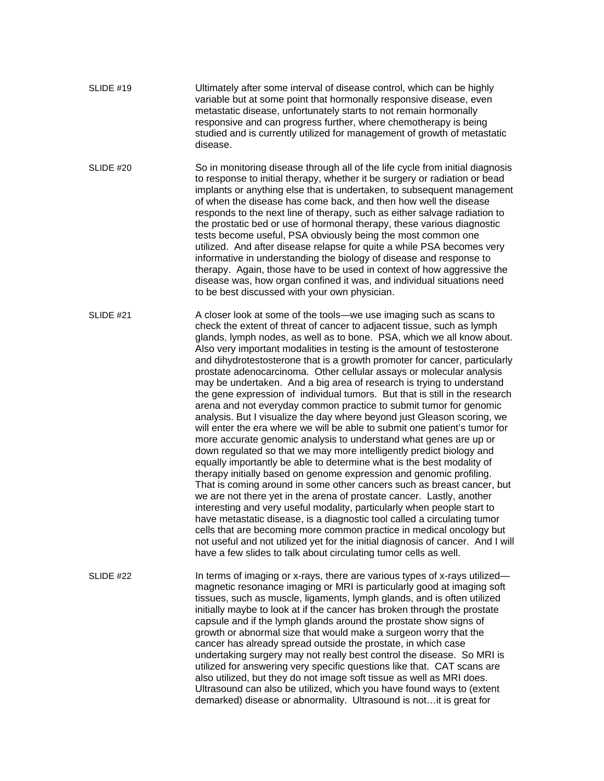| SLIDE #19 | Ultimately after some interval of disease control, which can be highly   |
|-----------|--------------------------------------------------------------------------|
|           | variable but at some point that hormonally responsive disease, even      |
|           | metastatic disease, unfortunately starts to not remain hormonally        |
|           | responsive and can progress further, where chemotherapy is being         |
|           | studied and is currently utilized for management of growth of metastatic |
|           | disease.                                                                 |

SLIDE #20 So in monitoring disease through all of the life cycle from initial diagnosis to response to initial therapy, whether it be surgery or radiation or bead implants or anything else that is undertaken, to subsequent management of when the disease has come back, and then how well the disease responds to the next line of therapy, such as either salvage radiation to the prostatic bed or use of hormonal therapy, these various diagnostic tests become useful, PSA obviously being the most common one utilized. And after disease relapse for quite a while PSA becomes very informative in understanding the biology of disease and response to therapy. Again, those have to be used in context of how aggressive the disease was, how organ confined it was, and individual situations need to be best discussed with your own physician.

SLIDE #21 A closer look at some of the tools—we use imaging such as scans to check the extent of threat of cancer to adjacent tissue, such as lymph glands, lymph nodes, as well as to bone. PSA, which we all know about. Also very important modalities in testing is the amount of testosterone and dihydrotestosterone that is a growth promoter for cancer, particularly prostate adenocarcinoma. Other cellular assays or molecular analysis may be undertaken. And a big area of research is trying to understand the gene expression of individual tumors. But that is still in the research arena and not everyday common practice to submit tumor for genomic analysis. But I visualize the day where beyond just Gleason scoring, we will enter the era where we will be able to submit one patient's tumor for more accurate genomic analysis to understand what genes are up or down regulated so that we may more intelligently predict biology and equally importantly be able to determine what is the best modality of therapy initially based on genome expression and genomic profiling. That is coming around in some other cancers such as breast cancer, but we are not there yet in the arena of prostate cancer. Lastly, another interesting and very useful modality, particularly when people start to have metastatic disease, is a diagnostic tool called a circulating tumor cells that are becoming more common practice in medical oncology but not useful and not utilized yet for the initial diagnosis of cancer. And I will have a few slides to talk about circulating tumor cells as well.

SLIDE #22 **In terms of imaging or x-rays, there are various types of x-rays utilized** magnetic resonance imaging or MRI is particularly good at imaging soft tissues, such as muscle, ligaments, lymph glands, and is often utilized initially maybe to look at if the cancer has broken through the prostate capsule and if the lymph glands around the prostate show signs of growth or abnormal size that would make a surgeon worry that the cancer has already spread outside the prostate, in which case undertaking surgery may not really best control the disease. So MRI is utilized for answering very specific questions like that. CAT scans are also utilized, but they do not image soft tissue as well as MRI does. Ultrasound can also be utilized, which you have found ways to (extent demarked) disease or abnormality. Ultrasound is not…it is great for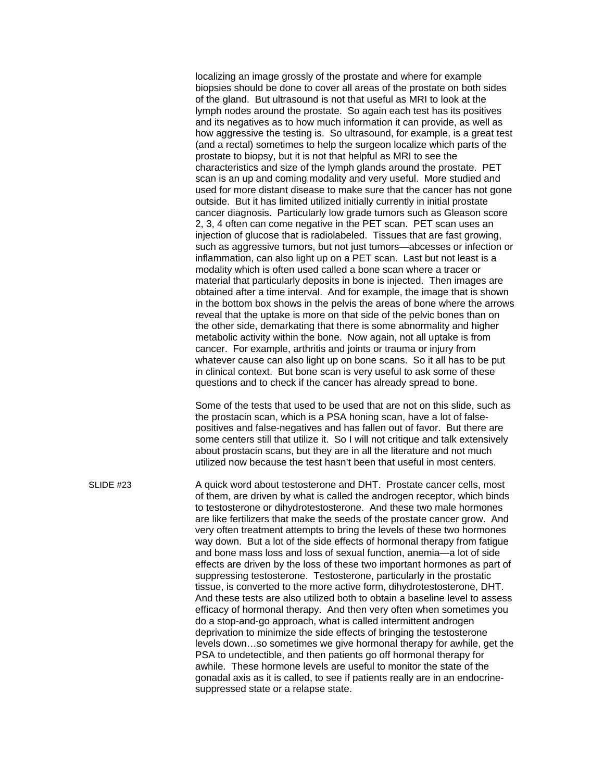localizing an image grossly of the prostate and where for example biopsies should be done to cover all areas of the prostate on both sides of the gland. But ultrasound is not that useful as MRI to look at the lymph nodes around the prostate. So again each test has its positives and its negatives as to how much information it can provide, as well as how aggressive the testing is. So ultrasound, for example, is a great test (and a rectal) sometimes to help the surgeon localize which parts of the prostate to biopsy, but it is not that helpful as MRI to see the characteristics and size of the lymph glands around the prostate. PET scan is an up and coming modality and very useful. More studied and used for more distant disease to make sure that the cancer has not gone outside. But it has limited utilized initially currently in initial prostate cancer diagnosis. Particularly low grade tumors such as Gleason score 2, 3, 4 often can come negative in the PET scan. PET scan uses an injection of glucose that is radiolabeled. Tissues that are fast growing, such as aggressive tumors, but not just tumors—abcesses or infection or inflammation, can also light up on a PET scan. Last but not least is a modality which is often used called a bone scan where a tracer or material that particularly deposits in bone is injected. Then images are obtained after a time interval. And for example, the image that is shown in the bottom box shows in the pelvis the areas of bone where the arrows reveal that the uptake is more on that side of the pelvic bones than on the other side, demarkating that there is some abnormality and higher metabolic activity within the bone. Now again, not all uptake is from cancer. For example, arthritis and joints or trauma or injury from whatever cause can also light up on bone scans. So it all has to be put in clinical context. But bone scan is very useful to ask some of these questions and to check if the cancer has already spread to bone.

 Some of the tests that used to be used that are not on this slide, such as the prostacin scan, which is a PSA honing scan, have a lot of falsepositives and false-negatives and has fallen out of favor. But there are some centers still that utilize it. So I will not critique and talk extensively about prostacin scans, but they are in all the literature and not much utilized now because the test hasn't been that useful in most centers.

SLIDE #23 A quick word about testosterone and DHT. Prostate cancer cells, most of them, are driven by what is called the androgen receptor, which binds to testosterone or dihydrotestosterone. And these two male hormones are like fertilizers that make the seeds of the prostate cancer grow. And very often treatment attempts to bring the levels of these two hormones way down. But a lot of the side effects of hormonal therapy from fatigue and bone mass loss and loss of sexual function, anemia—a lot of side effects are driven by the loss of these two important hormones as part of suppressing testosterone. Testosterone, particularly in the prostatic tissue, is converted to the more active form, dihydrotestosterone, DHT. And these tests are also utilized both to obtain a baseline level to assess efficacy of hormonal therapy. And then very often when sometimes you do a stop-and-go approach, what is called intermittent androgen deprivation to minimize the side effects of bringing the testosterone levels down…so sometimes we give hormonal therapy for awhile, get the PSA to undetectible, and then patients go off hormonal therapy for awhile. These hormone levels are useful to monitor the state of the gonadal axis as it is called, to see if patients really are in an endocrinesuppressed state or a relapse state.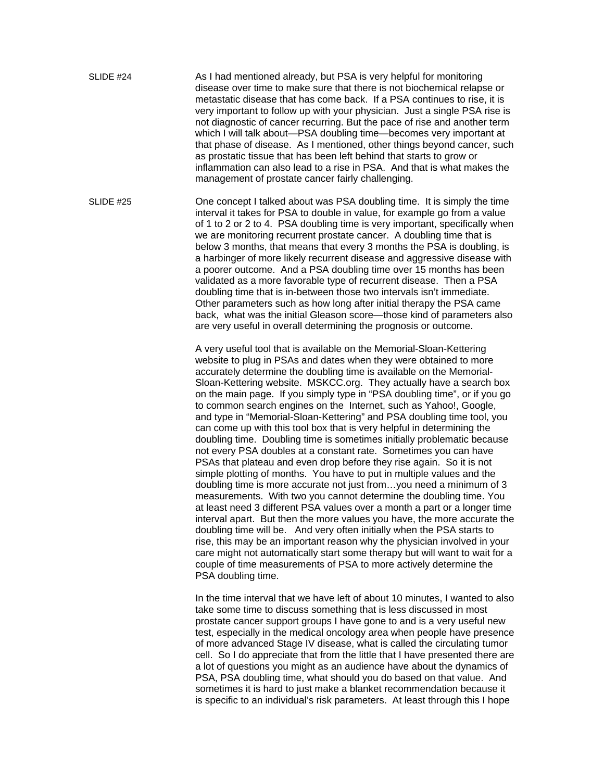SLIDE #24 As I had mentioned already, but PSA is very helpful for monitoring disease over time to make sure that there is not biochemical relapse or metastatic disease that has come back. If a PSA continues to rise, it is very important to follow up with your physician. Just a single PSA rise is not diagnostic of cancer recurring. But the pace of rise and another term which I will talk about—PSA doubling time—becomes very important at that phase of disease. As I mentioned, other things beyond cancer, such as prostatic tissue that has been left behind that starts to grow or inflammation can also lead to a rise in PSA. And that is what makes the management of prostate cancer fairly challenging.

SLIDE #25 One concept I talked about was PSA doubling time. It is simply the time interval it takes for PSA to double in value, for example go from a value of 1 to 2 or 2 to 4. PSA doubling time is very important, specifically when we are monitoring recurrent prostate cancer. A doubling time that is below 3 months, that means that every 3 months the PSA is doubling, is a harbinger of more likely recurrent disease and aggressive disease with a poorer outcome. And a PSA doubling time over 15 months has been validated as a more favorable type of recurrent disease. Then a PSA doubling time that is in-between those two intervals isn't immediate. Other parameters such as how long after initial therapy the PSA came back, what was the initial Gleason score—those kind of parameters also are very useful in overall determining the prognosis or outcome.

> A very useful tool that is available on the Memorial-Sloan-Kettering website to plug in PSAs and dates when they were obtained to more accurately determine the doubling time is available on the Memorial-Sloan-Kettering website. MSKCC.org. They actually have a search box on the main page. If you simply type in "PSA doubling time", or if you go to common search engines on the Internet, such as Yahoo!, Google, and type in "Memorial-Sloan-Kettering" and PSA doubling time tool, you can come up with this tool box that is very helpful in determining the doubling time. Doubling time is sometimes initially problematic because not every PSA doubles at a constant rate. Sometimes you can have PSAs that plateau and even drop before they rise again. So it is not simple plotting of months. You have to put in multiple values and the doubling time is more accurate not just from…you need a minimum of 3 measurements. With two you cannot determine the doubling time. You at least need 3 different PSA values over a month a part or a longer time interval apart. But then the more values you have, the more accurate the doubling time will be. And very often initially when the PSA starts to rise, this may be an important reason why the physician involved in your care might not automatically start some therapy but will want to wait for a couple of time measurements of PSA to more actively determine the PSA doubling time.

> In the time interval that we have left of about 10 minutes, I wanted to also take some time to discuss something that is less discussed in most prostate cancer support groups I have gone to and is a very useful new test, especially in the medical oncology area when people have presence of more advanced Stage IV disease, what is called the circulating tumor cell. So I do appreciate that from the little that I have presented there are a lot of questions you might as an audience have about the dynamics of PSA, PSA doubling time, what should you do based on that value. And sometimes it is hard to just make a blanket recommendation because it is specific to an individual's risk parameters. At least through this I hope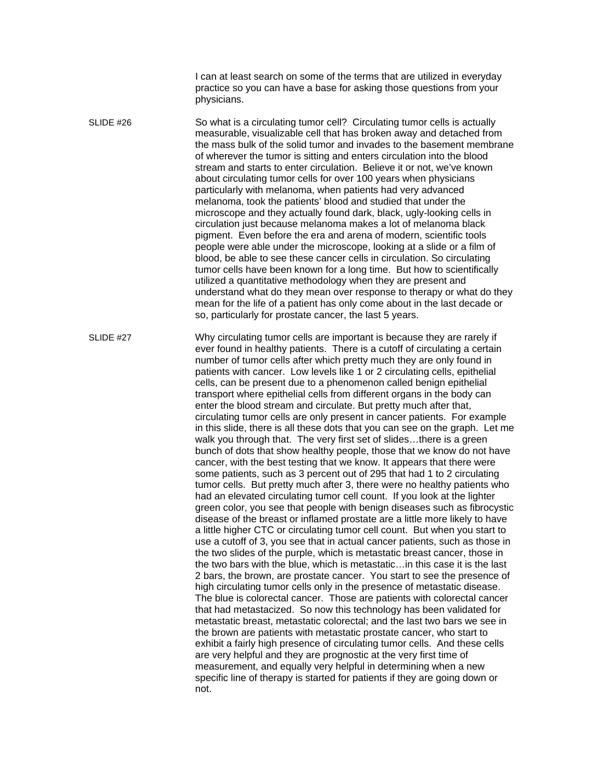I can at least search on some of the terms that are utilized in everyday practice so you can have a base for asking those questions from your physicians.

SLIDE #26 So what is a circulating tumor cell? Circulating tumor cells is actually measurable, visualizable cell that has broken away and detached from the mass bulk of the solid tumor and invades to the basement membrane of wherever the tumor is sitting and enters circulation into the blood stream and starts to enter circulation. Believe it or not, we've known about circulating tumor cells for over 100 years when physicians particularly with melanoma, when patients had very advanced melanoma, took the patients' blood and studied that under the microscope and they actually found dark, black, ugly-looking cells in circulation just because melanoma makes a lot of melanoma black pigment. Even before the era and arena of modern, scientific tools people were able under the microscope, looking at a slide or a film of blood, be able to see these cancer cells in circulation. So circulating tumor cells have been known for a long time. But how to scientifically utilized a quantitative methodology when they are present and understand what do they mean over response to therapy or what do they mean for the life of a patient has only come about in the last decade or so, particularly for prostate cancer, the last 5 years.

SLIDE #27 Why circulating tumor cells are important is because they are rarely if ever found in healthy patients. There is a cutoff of circulating a certain number of tumor cells after which pretty much they are only found in patients with cancer. Low levels like 1 or 2 circulating cells, epithelial cells, can be present due to a phenomenon called benign epithelial transport where epithelial cells from different organs in the body can enter the blood stream and circulate. But pretty much after that, circulating tumor cells are only present in cancer patients. For example in this slide, there is all these dots that you can see on the graph. Let me walk you through that. The very first set of slides…there is a green bunch of dots that show healthy people, those that we know do not have cancer, with the best testing that we know. It appears that there were some patients, such as 3 percent out of 295 that had 1 to 2 circulating tumor cells. But pretty much after 3, there were no healthy patients who had an elevated circulating tumor cell count. If you look at the lighter green color, you see that people with benign diseases such as fibrocystic disease of the breast or inflamed prostate are a little more likely to have a little higher CTC or circulating tumor cell count. But when you start to use a cutoff of 3, you see that in actual cancer patients, such as those in the two slides of the purple, which is metastatic breast cancer, those in the two bars with the blue, which is metastatic…in this case it is the last 2 bars, the brown, are prostate cancer. You start to see the presence of high circulating tumor cells only in the presence of metastatic disease. The blue is colorectal cancer. Those are patients with colorectal cancer that had metastacized. So now this technology has been validated for metastatic breast, metastatic colorectal; and the last two bars we see in the brown are patients with metastatic prostate cancer, who start to exhibit a fairly high presence of circulating tumor cells. And these cells are very helpful and they are prognostic at the very first time of measurement, and equally very helpful in determining when a new specific line of therapy is started for patients if they are going down or not.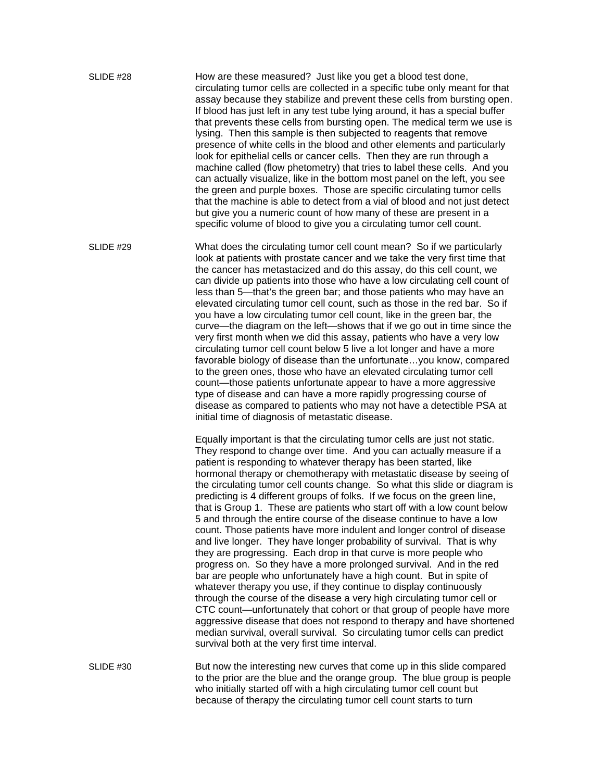SLIDE #28 How are these measured? Just like you get a blood test done, circulating tumor cells are collected in a specific tube only meant for that assay because they stabilize and prevent these cells from bursting open. If blood has just left in any test tube lying around, it has a special buffer that prevents these cells from bursting open. The medical term we use is lysing. Then this sample is then subjected to reagents that remove presence of white cells in the blood and other elements and particularly look for epithelial cells or cancer cells. Then they are run through a machine called (flow phetometry) that tries to label these cells. And you can actually visualize, like in the bottom most panel on the left, you see the green and purple boxes. Those are specific circulating tumor cells that the machine is able to detect from a vial of blood and not just detect but give you a numeric count of how many of these are present in a specific volume of blood to give you a circulating tumor cell count.

SLIDE #29 What does the circulating tumor cell count mean? So if we particularly look at patients with prostate cancer and we take the very first time that the cancer has metastacized and do this assay, do this cell count, we can divide up patients into those who have a low circulating cell count of less than 5—that's the green bar; and those patients who may have an elevated circulating tumor cell count, such as those in the red bar. So if you have a low circulating tumor cell count, like in the green bar, the curve—the diagram on the left—shows that if we go out in time since the very first month when we did this assay, patients who have a very low circulating tumor cell count below 5 live a lot longer and have a more favorable biology of disease than the unfortunate…you know, compared to the green ones, those who have an elevated circulating tumor cell count—those patients unfortunate appear to have a more aggressive type of disease and can have a more rapidly progressing course of disease as compared to patients who may not have a detectible PSA at initial time of diagnosis of metastatic disease.

> Equally important is that the circulating tumor cells are just not static. They respond to change over time. And you can actually measure if a patient is responding to whatever therapy has been started, like hormonal therapy or chemotherapy with metastatic disease by seeing of the circulating tumor cell counts change. So what this slide or diagram is predicting is 4 different groups of folks. If we focus on the green line, that is Group 1. These are patients who start off with a low count below 5 and through the entire course of the disease continue to have a low count. Those patients have more indulent and longer control of disease and live longer. They have longer probability of survival. That is why they are progressing. Each drop in that curve is more people who progress on. So they have a more prolonged survival. And in the red bar are people who unfortunately have a high count. But in spite of whatever therapy you use, if they continue to display continuously through the course of the disease a very high circulating tumor cell or CTC count—unfortunately that cohort or that group of people have more aggressive disease that does not respond to therapy and have shortened median survival, overall survival. So circulating tumor cells can predict survival both at the very first time interval.

SLIDE #30 But now the interesting new curves that come up in this slide compared to the prior are the blue and the orange group. The blue group is people who initially started off with a high circulating tumor cell count but because of therapy the circulating tumor cell count starts to turn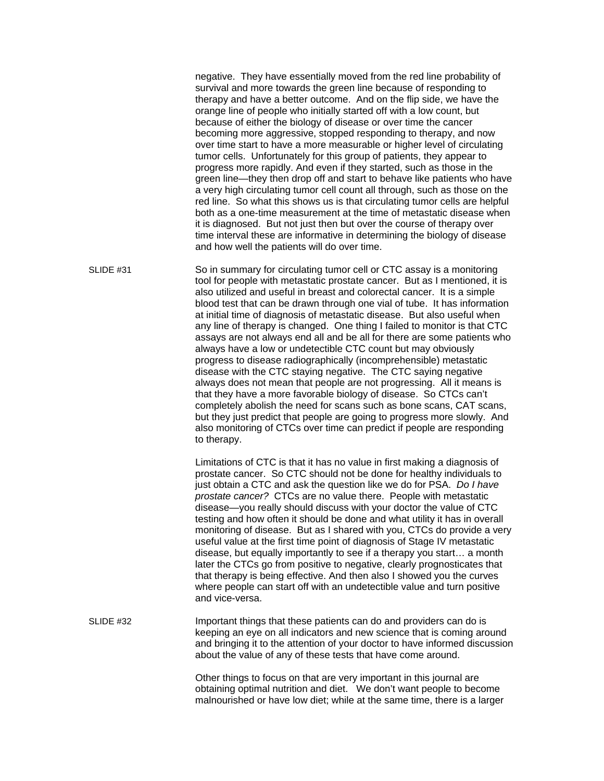negative. They have essentially moved from the red line probability of survival and more towards the green line because of responding to therapy and have a better outcome. And on the flip side, we have the orange line of people who initially started off with a low count, but because of either the biology of disease or over time the cancer becoming more aggressive, stopped responding to therapy, and now over time start to have a more measurable or higher level of circulating tumor cells. Unfortunately for this group of patients, they appear to progress more rapidly. And even if they started, such as those in the green line—they then drop off and start to behave like patients who have a very high circulating tumor cell count all through, such as those on the red line. So what this shows us is that circulating tumor cells are helpful both as a one-time measurement at the time of metastatic disease when it is diagnosed. But not just then but over the course of therapy over time interval these are informative in determining the biology of disease and how well the patients will do over time.

SLIDE #31 So in summary for circulating tumor cell or CTC assay is a monitoring tool for people with metastatic prostate cancer. But as I mentioned, it is also utilized and useful in breast and colorectal cancer. It is a simple blood test that can be drawn through one vial of tube. It has information at initial time of diagnosis of metastatic disease. But also useful when any line of therapy is changed. One thing I failed to monitor is that CTC assays are not always end all and be all for there are some patients who always have a low or undetectible CTC count but may obviously progress to disease radiographically (incomprehensible) metastatic disease with the CTC staying negative. The CTC saying negative always does not mean that people are not progressing. All it means is that they have a more favorable biology of disease. So CTCs can't completely abolish the need for scans such as bone scans, CAT scans, but they just predict that people are going to progress more slowly. And also monitoring of CTCs over time can predict if people are responding to therapy.

> Limitations of CTC is that it has no value in first making a diagnosis of prostate cancer. So CTC should not be done for healthy individuals to just obtain a CTC and ask the question like we do for PSA. *Do I have prostate cancer?* CTCs are no value there. People with metastatic disease—you really should discuss with your doctor the value of CTC testing and how often it should be done and what utility it has in overall monitoring of disease. But as I shared with you, CTCs do provide a very useful value at the first time point of diagnosis of Stage IV metastatic disease, but equally importantly to see if a therapy you start… a month later the CTCs go from positive to negative, clearly prognosticates that that therapy is being effective. And then also I showed you the curves where people can start off with an undetectible value and turn positive and vice-versa.

SLIDE #32 Important things that these patients can do and providers can do is keeping an eye on all indicators and new science that is coming around and bringing it to the attention of your doctor to have informed discussion about the value of any of these tests that have come around.

> Other things to focus on that are very important in this journal are obtaining optimal nutrition and diet. We don't want people to become malnourished or have low diet; while at the same time, there is a larger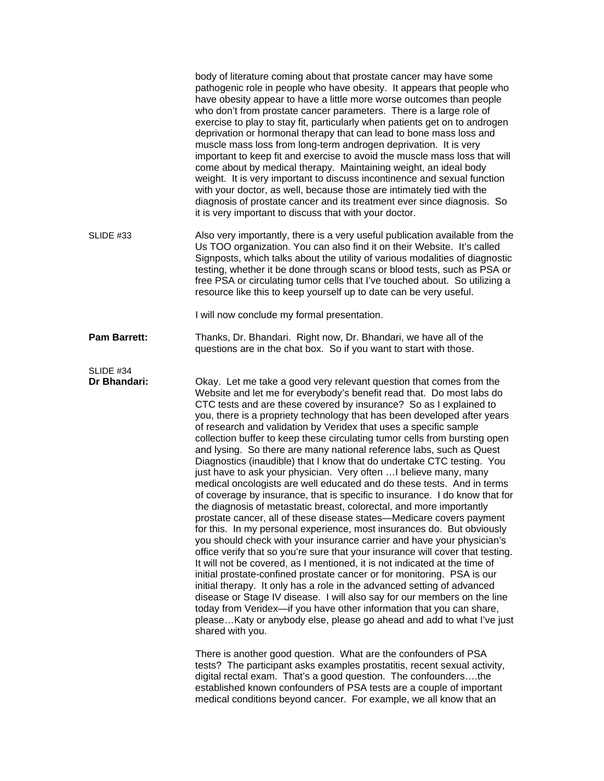|                           | body of literature coming about that prostate cancer may have some<br>pathogenic role in people who have obesity. It appears that people who<br>have obesity appear to have a little more worse outcomes than people<br>who don't from prostate cancer parameters. There is a large role of<br>exercise to play to stay fit, particularly when patients get on to androgen<br>deprivation or hormonal therapy that can lead to bone mass loss and<br>muscle mass loss from long-term androgen deprivation. It is very<br>important to keep fit and exercise to avoid the muscle mass loss that will<br>come about by medical therapy. Maintaining weight, an ideal body<br>weight. It is very important to discuss incontinence and sexual function<br>with your doctor, as well, because those are intimately tied with the<br>diagnosis of prostate cancer and its treatment ever since diagnosis. So<br>it is very important to discuss that with your doctor.                                                                                                                                                                                                                                                                                                                                                                                                                                                                                                                                                                                                                                                                                                                                             |
|---------------------------|---------------------------------------------------------------------------------------------------------------------------------------------------------------------------------------------------------------------------------------------------------------------------------------------------------------------------------------------------------------------------------------------------------------------------------------------------------------------------------------------------------------------------------------------------------------------------------------------------------------------------------------------------------------------------------------------------------------------------------------------------------------------------------------------------------------------------------------------------------------------------------------------------------------------------------------------------------------------------------------------------------------------------------------------------------------------------------------------------------------------------------------------------------------------------------------------------------------------------------------------------------------------------------------------------------------------------------------------------------------------------------------------------------------------------------------------------------------------------------------------------------------------------------------------------------------------------------------------------------------------------------------------------------------------------------------------------------------|
| SLIDE #33                 | Also very importantly, there is a very useful publication available from the<br>Us TOO organization. You can also find it on their Website. It's called<br>Signposts, which talks about the utility of various modalities of diagnostic<br>testing, whether it be done through scans or blood tests, such as PSA or<br>free PSA or circulating tumor cells that I've touched about. So utilizing a<br>resource like this to keep yourself up to date can be very useful.                                                                                                                                                                                                                                                                                                                                                                                                                                                                                                                                                                                                                                                                                                                                                                                                                                                                                                                                                                                                                                                                                                                                                                                                                                      |
|                           | I will now conclude my formal presentation.                                                                                                                                                                                                                                                                                                                                                                                                                                                                                                                                                                                                                                                                                                                                                                                                                                                                                                                                                                                                                                                                                                                                                                                                                                                                                                                                                                                                                                                                                                                                                                                                                                                                   |
| <b>Pam Barrett:</b>       | Thanks, Dr. Bhandari. Right now, Dr. Bhandari, we have all of the<br>questions are in the chat box. So if you want to start with those.                                                                                                                                                                                                                                                                                                                                                                                                                                                                                                                                                                                                                                                                                                                                                                                                                                                                                                                                                                                                                                                                                                                                                                                                                                                                                                                                                                                                                                                                                                                                                                       |
| SLIDE #34<br>Dr Bhandari: | Okay. Let me take a good very relevant question that comes from the<br>Website and let me for everybody's benefit read that. Do most labs do<br>CTC tests and are these covered by insurance? So as I explained to<br>you, there is a propriety technology that has been developed after years<br>of research and validation by Veridex that uses a specific sample<br>collection buffer to keep these circulating tumor cells from bursting open<br>and lysing. So there are many national reference labs, such as Quest<br>Diagnostics (inaudible) that I know that do undertake CTC testing. You<br>just have to ask your physician. Very often  I believe many, many<br>medical oncologists are well educated and do these tests. And in terms<br>of coverage by insurance, that is specific to insurance. I do know that for<br>the diagnosis of metastatic breast, colorectal, and more importantly<br>prostate cancer, all of these disease states—Medicare covers payment<br>for this. In my personal experience, most insurances do. But obviously<br>you should check with your insurance carrier and have your physician's<br>office verify that so you're sure that your insurance will cover that testing.<br>It will not be covered, as I mentioned, it is not indicated at the time of<br>initial prostate-confined prostate cancer or for monitoring. PSA is our<br>initial therapy. It only has a role in the advanced setting of advanced<br>disease or Stage IV disease. I will also say for our members on the line<br>today from Veridex-if you have other information that you can share,<br>please Katy or anybody else, please go ahead and add to what I've just<br>shared with you. |
|                           | There is another good question. What are the confounders of PSA<br>tests? The participant asks examples prostatitis, recent sexual activity,<br>digital rectal exam. That's a good question. The confoundersthe<br>established known confounders of PSA tests are a couple of important<br>medical conditions beyond cancer. For example, we all know that an                                                                                                                                                                                                                                                                                                                                                                                                                                                                                                                                                                                                                                                                                                                                                                                                                                                                                                                                                                                                                                                                                                                                                                                                                                                                                                                                                 |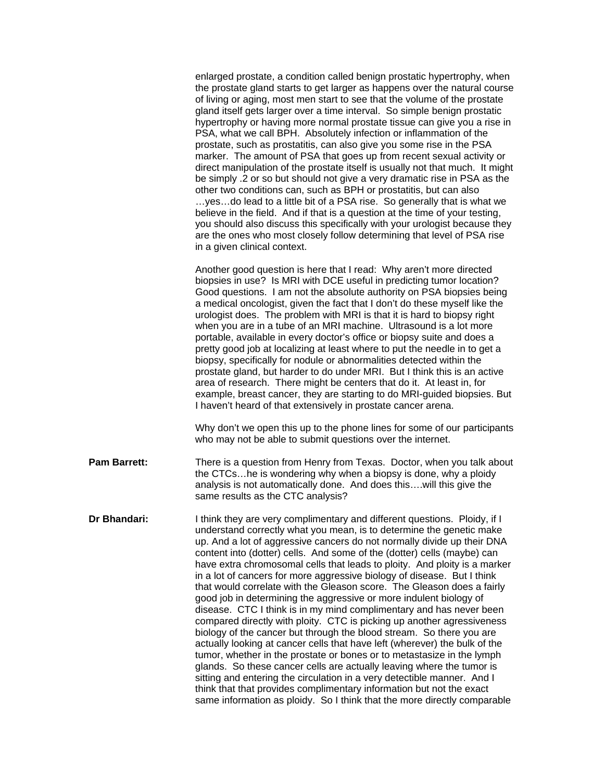|                     | enlarged prostate, a condition called benign prostatic hypertrophy, when<br>the prostate gland starts to get larger as happens over the natural course<br>of living or aging, most men start to see that the volume of the prostate<br>gland itself gets larger over a time interval. So simple benign prostatic<br>hypertrophy or having more normal prostate tissue can give you a rise in<br>PSA, what we call BPH. Absolutely infection or inflammation of the<br>prostate, such as prostatitis, can also give you some rise in the PSA<br>marker. The amount of PSA that goes up from recent sexual activity or<br>direct manipulation of the prostate itself is usually not that much. It might<br>be simply .2 or so but should not give a very dramatic rise in PSA as the<br>other two conditions can, such as BPH or prostatitis, but can also<br>yesdo lead to a little bit of a PSA rise. So generally that is what we<br>believe in the field. And if that is a question at the time of your testing,<br>you should also discuss this specifically with your urologist because they<br>are the ones who most closely follow determining that level of PSA rise<br>in a given clinical context.                                                                                              |
|---------------------|----------------------------------------------------------------------------------------------------------------------------------------------------------------------------------------------------------------------------------------------------------------------------------------------------------------------------------------------------------------------------------------------------------------------------------------------------------------------------------------------------------------------------------------------------------------------------------------------------------------------------------------------------------------------------------------------------------------------------------------------------------------------------------------------------------------------------------------------------------------------------------------------------------------------------------------------------------------------------------------------------------------------------------------------------------------------------------------------------------------------------------------------------------------------------------------------------------------------------------------------------------------------------------------------------------|
|                     | Another good question is here that I read: Why aren't more directed<br>biopsies in use? Is MRI with DCE useful in predicting tumor location?<br>Good questions. I am not the absolute authority on PSA biopsies being<br>a medical oncologist, given the fact that I don't do these myself like the<br>urologist does. The problem with MRI is that it is hard to biopsy right<br>when you are in a tube of an MRI machine. Ultrasound is a lot more<br>portable, available in every doctor's office or biopsy suite and does a<br>pretty good job at localizing at least where to put the needle in to get a<br>biopsy, specifically for nodule or abnormalities detected within the<br>prostate gland, but harder to do under MRI. But I think this is an active<br>area of research. There might be centers that do it. At least in, for<br>example, breast cancer, they are starting to do MRI-guided biopsies. But<br>I haven't heard of that extensively in prostate cancer arena.                                                                                                                                                                                                                                                                                                                 |
|                     | Why don't we open this up to the phone lines for some of our participants<br>who may not be able to submit questions over the internet.                                                                                                                                                                                                                                                                                                                                                                                                                                                                                                                                                                                                                                                                                                                                                                                                                                                                                                                                                                                                                                                                                                                                                                  |
| <b>Pam Barrett:</b> | There is a question from Henry from Texas. Doctor, when you talk about<br>the CTCshe is wondering why when a biopsy is done, why a ploidy<br>analysis is not automatically done. And does thiswill this give the<br>same results as the CTC analysis?                                                                                                                                                                                                                                                                                                                                                                                                                                                                                                                                                                                                                                                                                                                                                                                                                                                                                                                                                                                                                                                    |
| Dr Bhandari:        | I think they are very complimentary and different questions. Ploidy, if I<br>understand correctly what you mean, is to determine the genetic make<br>up. And a lot of aggressive cancers do not normally divide up their DNA<br>content into (dotter) cells. And some of the (dotter) cells (maybe) can<br>have extra chromosomal cells that leads to ploity. And ploity is a marker<br>in a lot of cancers for more aggressive biology of disease. But I think<br>that would correlate with the Gleason score. The Gleason does a fairly<br>good job in determining the aggressive or more indulent biology of<br>disease. CTC I think is in my mind complimentary and has never been<br>compared directly with ploity. CTC is picking up another agressiveness<br>biology of the cancer but through the blood stream. So there you are<br>actually looking at cancer cells that have left (wherever) the bulk of the<br>tumor, whether in the prostate or bones or to metastasize in the lymph<br>glands. So these cancer cells are actually leaving where the tumor is<br>sitting and entering the circulation in a very detectible manner. And I<br>think that that provides complimentary information but not the exact<br>same information as ploidy. So I think that the more directly comparable |